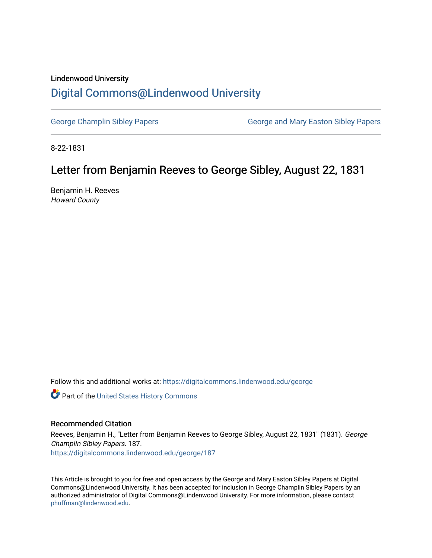### Lindenwood University

# [Digital Commons@Lindenwood University](https://digitalcommons.lindenwood.edu/)

[George Champlin Sibley Papers](https://digitalcommons.lindenwood.edu/george) George and Mary Easton Sibley Papers

8-22-1831

# Letter from Benjamin Reeves to George Sibley, August 22, 1831

Benjamin H. Reeves Howard County

Follow this and additional works at: [https://digitalcommons.lindenwood.edu/george](https://digitalcommons.lindenwood.edu/george?utm_source=digitalcommons.lindenwood.edu%2Fgeorge%2F187&utm_medium=PDF&utm_campaign=PDFCoverPages)

Part of the [United States History Commons](http://network.bepress.com/hgg/discipline/495?utm_source=digitalcommons.lindenwood.edu%2Fgeorge%2F187&utm_medium=PDF&utm_campaign=PDFCoverPages) 

#### Recommended Citation

Reeves, Benjamin H., "Letter from Benjamin Reeves to George Sibley, August 22, 1831" (1831). George Champlin Sibley Papers. 187. [https://digitalcommons.lindenwood.edu/george/187](https://digitalcommons.lindenwood.edu/george/187?utm_source=digitalcommons.lindenwood.edu%2Fgeorge%2F187&utm_medium=PDF&utm_campaign=PDFCoverPages)

This Article is brought to you for free and open access by the George and Mary Easton Sibley Papers at Digital Commons@Lindenwood University. It has been accepted for inclusion in George Champlin Sibley Papers by an authorized administrator of Digital Commons@Lindenwood University. For more information, please contact [phuffman@lindenwood.edu](mailto:phuffman@lindenwood.edu).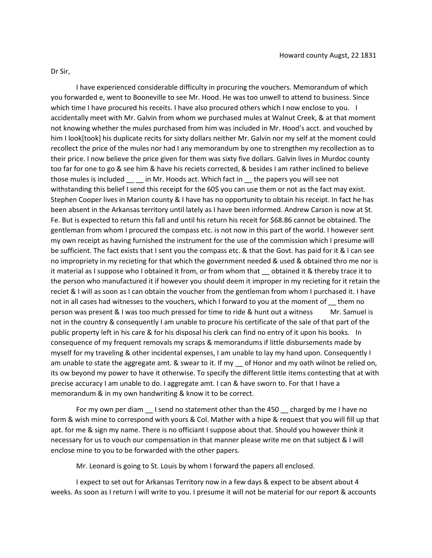#### Dr Sir,

I have experienced considerable difficulty in procuring the vouchers. Memorandum of which you forwarded e, went to Booneville to see Mr. Hood. He was too unwell to attend to business. Since which time I have procured his receits. I have also procured others which I now enclose to you. I accidentally meet with Mr. Galvin from whom we purchased mules at Walnut Creek, & at that moment not knowing whether the mules purchased from him was included in Mr. Hood's acct. and vouched by him I look[took] his duplicate recits for sixty dollars neither Mr. Galvin nor my self at the moment could recollect the price of the mules nor had I any memorandum by one to strengthen my recollection as to their price. I now believe the price given for them was sixty five dollars. Galvin lives in Murdoc county too far for one to go & see him & have his reciets corrected, & besides I am rather inclined to believe those mules is included in Mr. Hoods act. Which fact in the papers you will see not withstanding this belief I send this receipt for the 60\$ you can use them or not as the fact may exist. Stephen Cooper lives in Marion county & I have has no opportunity to obtain his receipt. In fact he has been absent in the Arkansas territory until lately as I have been informed. Andrew Carson is now at St. Fe. But is expected to return this fall and until his return his receit for \$68.86 cannot be obtained. The gentleman from whom I procured the compass etc. is not now in this part of the world. I however sent my own receipt as having furnished the instrument for the use of the commission which I presume will be sufficient. The fact exists that I sent you the compass etc. & that the Govt. has paid for it & I can see no impropriety in my recieting for that which the government needed & used & obtained thro me nor is it material as I suppose who I obtained it from, or from whom that \_ obtained it & thereby trace it to the person who manufactured it if however you should deem it improper in my recieting for it retain the reciet & I will as soon as I can obtain the voucher from the gentleman from whom I purchased it. I have not in all cases had witnesses to the vouchers, which I forward to you at the moment of \_\_ them no person was present & I was too much pressed for time to ride & hunt out a witness Mr. Samuel is not in the country & consequently I am unable to procure his certificate of the sale of that part of the public property left in his care & for his disposal his clerk can find no entry of it upon his books. In consequence of my frequent removals my scraps & memorandums if little disbursements made by myself for my traveling & other incidental expenses, I am unable to lay my hand upon. Consequently I am unable to state the aggregate amt. & swear to it. If my \_\_ of Honor and my oath wilnot be relied on, its ow beyond my power to have it otherwise. To specify the different little items contesting that at with precise accuracy I am unable to do. I aggregate amt. I can & have sworn to. For that I have a memorandum & in my own handwriting & know it to be correct.

For my own per diam \_\_ I send no statement other than the 450 \_\_ charged by me I have no form & wish mine to correspond with yours & Col. Mather with a hipe & request that you will fill up that apt. for me & sign my name. There is no officiant I suppose about that. Should you however think it necessary for us to vouch our compensation in that manner please write me on that subject & I will enclose mine to you to be forwarded with the other papers.

Mr. Leonard is going to St. Louis by whom I forward the papers all enclosed.

I expect to set out for Arkansas Territory now in a few days & expect to be absent about 4 weeks. As soon as I return I will write to you. I presume it will not be material for our report & accounts